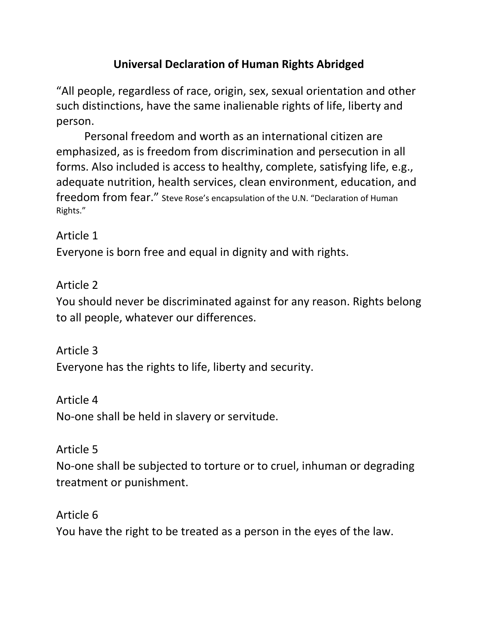# **Universal Declaration of Human Rights Abridged**

"All people, regardless of race, origin, sex, sexual orientation and other such distinctions, have the same inalienable rights of life, liberty and person.

Personal freedom and worth as an international citizen are emphasized, as is freedom from discrimination and persecution in all forms. Also included is access to healthy, complete, satisfying life, e.g., adequate nutrition, health services, clean environment, education, and freedom from fear." Steve Rose's encapsulation of the U.N. "Declaration of Human Rights."

# Article 1

Everyone is born free and equal in dignity and with rights.

# Article 2

You should never be discriminated against for any reason. Rights belong to all people, whatever our differences.

Article 3

Everyone has the rights to life, liberty and security.

#### Article 4

No‐one shall be held in slavery or servitude.

### Article 5

No‐one shall be subjected to torture or to cruel, inhuman or degrading treatment or punishment.

### Article 6

You have the right to be treated as a person in the eyes of the law.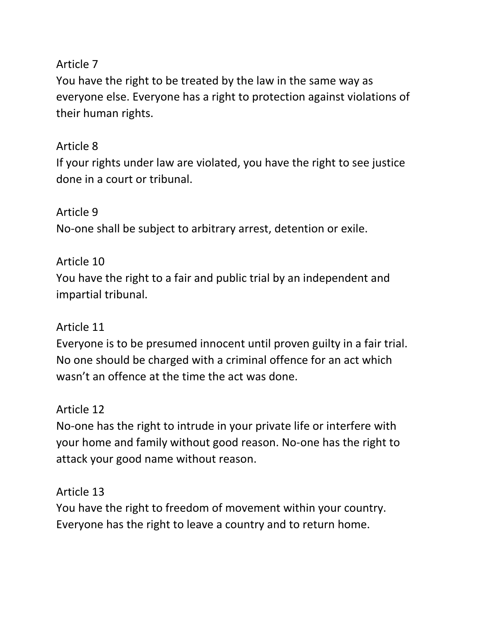#### Article 7

You have the right to be treated by the law in the same way as everyone else. Everyone has a right to protection against violations of their human rights.

## Article 8

If your rights under law are violated, you have the right to see justice done in a court or tribunal.

Article 9 No‐one shall be subject to arbitrary arrest, detention or exile.

#### Article 10

You have the right to a fair and public trial by an independent and impartial tribunal.

#### Article 11

Everyone is to be presumed innocent until proven guilty in a fair trial. No one should be charged with a criminal offence for an act which wasn't an offence at the time the act was done.

### Article 12

No‐one has the right to intrude in your private life or interfere with your home and family without good reason. No‐one has the right to attack your good name without reason.

### Article 13

You have the right to freedom of movement within your country. Everyone has the right to leave a country and to return home.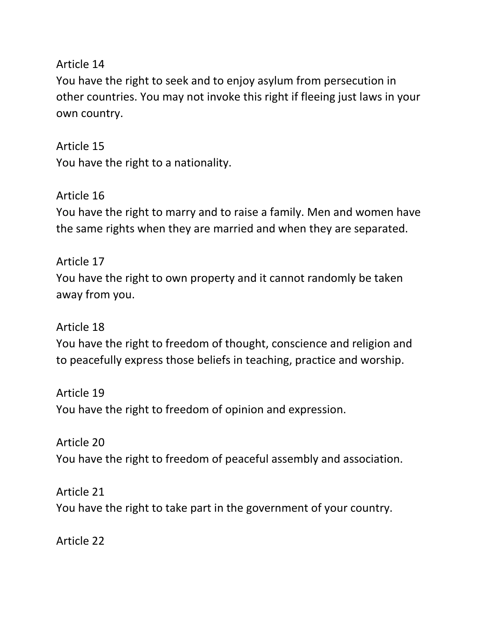Article 14

You have the right to seek and to enjoy asylum from persecution in other countries. You may not invoke this right if fleeing just laws in your own country.

Article 15 You have the right to a nationality.

Article 16 You have the right to marry and to raise a family. Men and women have the same rights when they are married and when they are separated.

Article 17 You have the right to own property and it cannot randomly be taken away from you.

Article 18 You have the right to freedom of thought, conscience and religion and to peacefully express those beliefs in teaching, practice and worship.

Article 19 You have the right to freedom of opinion and expression.

Article 20 You have the right to freedom of peaceful assembly and association.

Article 21 You have the right to take part in the government of your country.

Article 22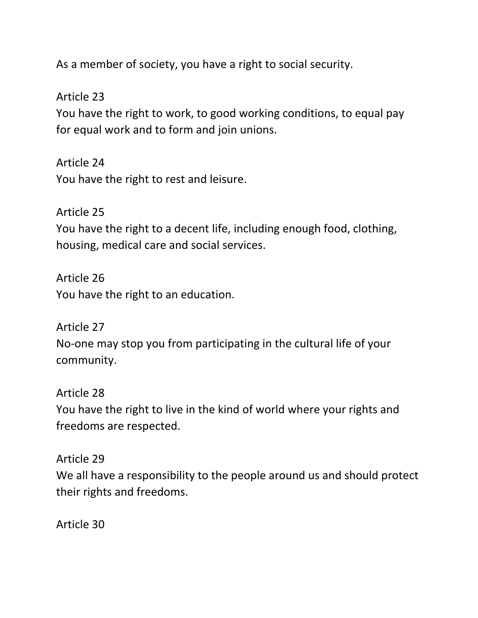As a member of society, you have a right to social security.

Article 23

You have the right to work, to good working conditions, to equal pay for equal work and to form and join unions.

Article 24 You have the right to rest and leisure.

Article 25 You have the right to a decent life, including enough food, clothing, housing, medical care and social services.

Article 26 You have the right to an education.

Article 27 No-one may stop you from participating in the cultural life of your community.

Article 28 You have the right to live in the kind of world where your rights and freedoms are respected.

Article 29 We all have a responsibility to the people around us and should protect their rights and freedoms.

Article 30